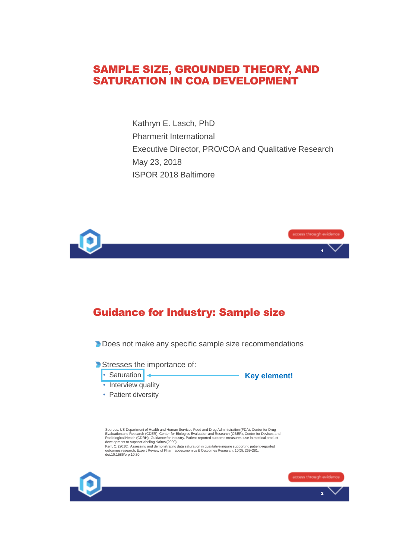#### SAMPLE SIZE, GROUNDED THEORY, AND SATURATION IN COA DEVELOPMENT

Kathryn E. Lasch, PhD Pharmerit International Executive Director, PRO/COA and Qualitative Research May 23, 2018 ISPOR 2018 Baltimore



# Guidance for Industry: Sample size

**Does not make any specific sample size recommendations** 

Stresses the importance of:



**Key element!**

- Interview quality
- Patient diversity

Sources: US Department of Health and Human Services Food and Drug Administration (FDA), Center for Drug<br>Evaluation and Research (CDER), Center for Biologics Evaluation and Research (CBER), Center for Devices and<br>Radiologic

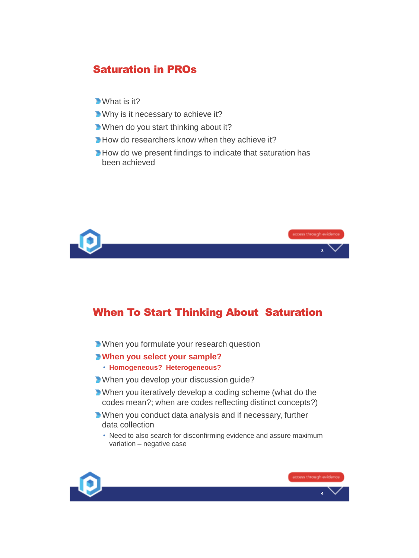# Saturation in PROs

- **What is it?**
- **Why is it necessary to achieve it?**
- **When do you start thinking about it?**
- How do researchers know when they achieve it?
- How do we present findings to indicate that saturation has been achieved



### When To Start Thinking About Saturation

**When you formulate your research question** 

#### **When you select your sample?**

- **Homogeneous? Heterogeneous?**
- When you develop your discussion guide?
- When you iteratively develop a coding scheme (what do the codes mean?; when are codes reflecting distinct concepts?)
- When you conduct data analysis and if necessary, further data collection
	- Need to also search for disconfirming evidence and assure maximum variation – negative case

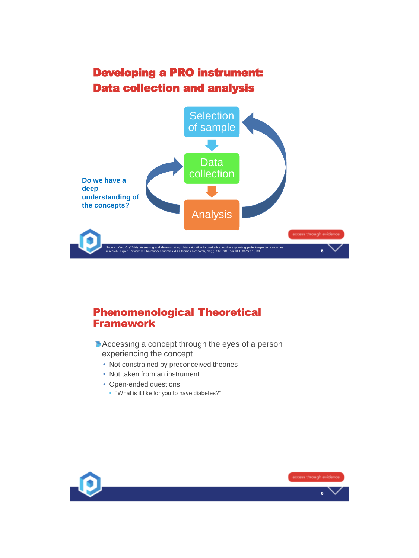# Developing a PRO instrument: Data collection and analysis



# Phenomenological Theoretical Framework

- Accessing a concept through the eyes of a person experiencing the concept
	- Not constrained by preconceived theories
	- Not taken from an instrument
	- Open-ended questions
		- "What is it like for you to have diabetes?"

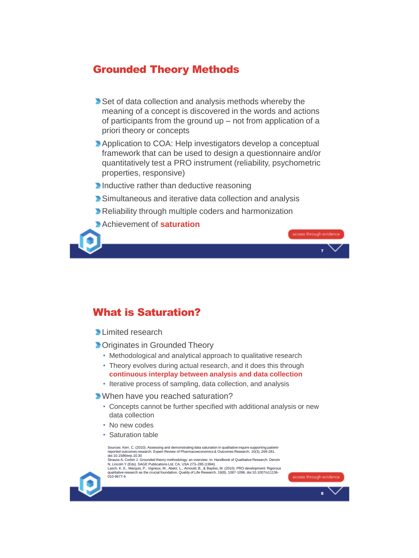## Grounded Theory Methods

- Set of data collection and analysis methods whereby the meaning of a concept is discovered in the words and actions of participants from the ground up – not from application of a priori theory or concepts
- **Application to COA: Help investigators develop a conceptual** framework that can be used to design a questionnaire and/or quantitatively test a PRO instrument (reliability, psychometric properties, responsive)

7

- Inductive rather than deductive reasoning
- **Simultaneous and iterative data collection and analysis**
- **Reliability through multiple coders and harmonization**
- Achievement of **saturation**



### What is Saturation?

- **D** Limited research
- **D** Originates in Grounded Theory
	- Methodological and analytical approach to qualitative research
	- Theory evolves during actual research, and it does this through **continuous interplay between analysis and data collection**
	- Iterative process of sampling, data collection, and analysis

**When have you reached saturation?** 

- Concepts cannot be further specified with additional analysis or new data collection
- No new codes
- Saturation table

| Sources: Kerr, C. (2010). Assessing and demonstrating data saturation in qualitative inquire supporting patient-<br>reported outcomes research. Expert Review of Pharmacoeconomics & Outcomes Research, 10(3), 269-281.<br>doi:10.1586/erp.10.30<br>Strauss A, Corbin J. Grounded theory methodology: an overview. In: Handbook of Qualitative Research. Denzin<br>N, Lincoln Y (Eds). SAGE Publications Ltd, CA, USA 273-285 (1994).<br>Lasch, K. E., Marquis, P., Vigneux, M., Abetz, L., Arnould, B., & Bayliss, M. (2010). PRO development: Rigorous<br>qualitative research as the crucial foundation. Quality of Life Research, 19(8), 1087-1096, doi:10,1007/s11136-<br>010-9677-6 | access through evidence |
|-------------------------------------------------------------------------------------------------------------------------------------------------------------------------------------------------------------------------------------------------------------------------------------------------------------------------------------------------------------------------------------------------------------------------------------------------------------------------------------------------------------------------------------------------------------------------------------------------------------------------------------------------------------------------------------------|-------------------------|
|                                                                                                                                                                                                                                                                                                                                                                                                                                                                                                                                                                                                                                                                                           |                         |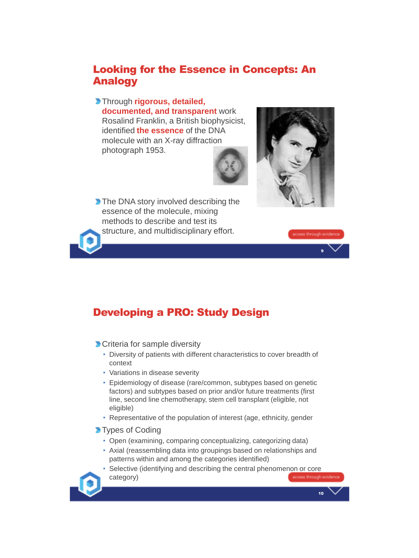# Looking for the Essence in Concepts: An Analogy

Through **rigorous, detailed, documented, and transparent** work Rosalind Franklin, a British biophysicist, identified **the essence** of the DNA molecule with an X-ray diffraction photograph 1953.



The DNA story involved describing the essence of the molecule, mixing methods to describe and test its structure, and multidisciplinary effort.



10



# Developing a PRO: Study Design

**Criteria for sample diversity** 

- Diversity of patients with different characteristics to cover breadth of context
- Variations in disease severity
- Epidemiology of disease (rare/common, subtypes based on genetic factors) and subtypes based on prior and/or future treatments (first line, second line chemotherapy, stem cell transplant (eligible, not eligible)
- Representative of the population of interest (age, ethnicity, gender
- **Types of Coding** 
	- Open (examining, comparing conceptualizing, categorizing data)
	- Axial (reassembling data into groupings based on relationships and patterns within and among the categories identified)
	- Selective (identifying and describing the central phenomenon or core category)scoess through evider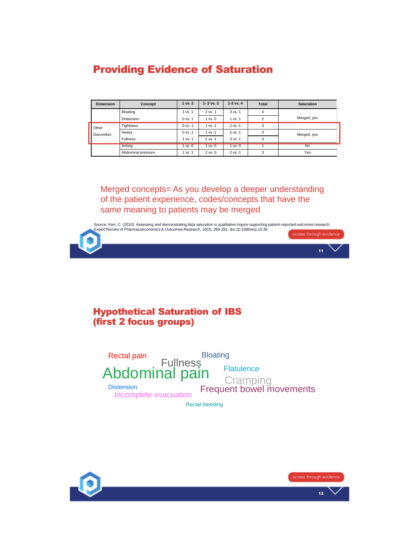# Providing Evidence of Saturation

| <b>Dimension</b>    | Concept            | 1 vs. 2 | $1 - 2$ vs. 3 | $1-3$ vs. $4$ | <b>Total</b>   | <b>Saturation</b> |
|---------------------|--------------------|---------|---------------|---------------|----------------|-------------------|
|                     | Bloating           | 1 vs. 1 | 2 vs. 1       | 3 vs. 1       | 4              |                   |
|                     | Distension         | 0 vs. 1 | $1$ vs. $0$   | 1 vs. 1       | $\mathfrak{p}$ | Merged, yes       |
| Other<br>Discomfort | Tightness          | 0 vs. 1 | 1 vs. 1       | 2 vs. 1       | 3              |                   |
|                     | Heavy              | 0 vs. 1 | 1 vs. 1       | 2 vs. 1       | 3              | Merged, yes       |
|                     | <b>Fullness</b>    | 1 vs. 1 | 2 vs. 1       | 3 vs. 1       | 4              |                   |
|                     | Itching            | 1 vs. 0 | 1 vs. 0       | 1 vs. 0       |                | <b>No</b>         |
|                     | Abdominal pressure | 1 vs. 1 | $2$ vs. $0$   | 2 vs. 1       | 3              | Yes               |

Merged concepts= As you develop a deeper understanding of the patient experience, codes/concepts that have the same meaning to patients may be merged

11 Source: Kerr, C. (2010). Assessing and demonstrating data saturation in qualitative inquire supporting patient-reported outcomes research.<br>Expert Review of Pharmacoeconomics & Outcomes Research, 10(3), 269-281. doi:10.1586

#### Hypothetical Saturation of IBS (first 2 focus groups)

| Rectal pain                                | <b>Bloating</b>            |                                                           |  |  |  |  |
|--------------------------------------------|----------------------------|-----------------------------------------------------------|--|--|--|--|
| <b>Distension</b><br>Incomplete evacuation | Fullness<br>Abdominal pain | <b>Flatulence</b><br>Cramping<br>Frequent bowel movements |  |  |  |  |
| <b>Rectal bleeding</b>                     |                            |                                                           |  |  |  |  |

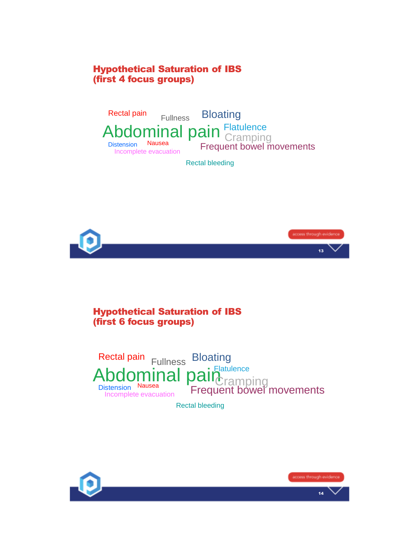#### Hypothetical Saturation of IBS (first 4 focus groups)



13

#### Hypothetical Saturation of IBS (first 6 focus groups)



Rectal bleeding